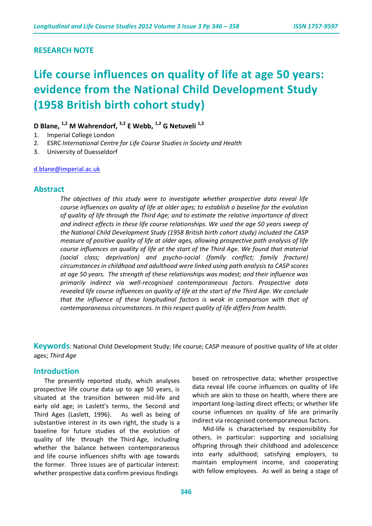## **RESEARCH NOTE**

# **Life course influences on quality of life at age 50 years: evidence from the National Child Development Study (1958 British birth cohort study)**

**D Blane, 1,2 M Wahrendorf, 3,2 E Webb, 1,2 G Netuveli 1,2**

- 1. Imperial College London
- 2. ESRC *International Centre for Life Course Studies in Society and Health*
- 3. University of Duesseldorf

[d.blane@imperial.ac.uk](mailto:d.blane@imperial.ac.uk)

## **Abstract**

*The objectives of this study were to investigate whether prospective data reveal life course influences on quality of life at older ages; to establish a baseline for the evolution of quality of life through the Third Age; and to estimate the relative importance of direct and indirect effects in these life course relationships. We used the age 50 years sweep of the National Child Development Study (1958 British birth cohort study) included the CASP measure of positive quality of life at older ages, allowing prospective path analysis of life course influences on quality of life at the start of the Third Age. We found that material (social class; deprivation) and psycho-social (family conflict; family fracture) circumstances in childhood and adulthood were linked using path analysis to CASP scores at age 50 years. The strength of these relationships was modest; and their influence was primarily indirect via well-recognised contemporaneous factors. Prospective data revealed life course influences on quality of life at the start of the Third Age. We conclude that the influence of these longitudinal factors is weak in comparison with that of contemporaneous circumstances. In this respect quality of life differs from health.* 

**Keywords**: National Child Development Study; life course; CASP measure of positive quality of life at older ages; *Third Age*

#### **Introduction**

The presently reported study, which analyses prospective life course data up to age 50 years, is situated at the transition between mid-life and early old age; in Laslett's terms, the Second and Third Ages (Laslett, 1996). As well as being of substantive interest in its own right, the study is a baseline for future studies of the evolution of quality of life through the Third Age, including whether the balance between contemporaneous and life course influences shifts with age towards the former. Three issues are of particular interest: whether prospective data confirm previous findings

based on retrospective data; whether prospective data reveal life course influences on quality of life which are akin to those on health, where there are important long-lasting direct effects; or whether life course influences on quality of life are primarily indirect via recognised contemporaneous factors.

Mid-life is characterised by responsibility for others, in particular: supporting and socialising offspring through their childhood and adolescence into early adulthood; satisfying employers, to maintain employment income, and cooperating with fellow employees. As well as being a stage of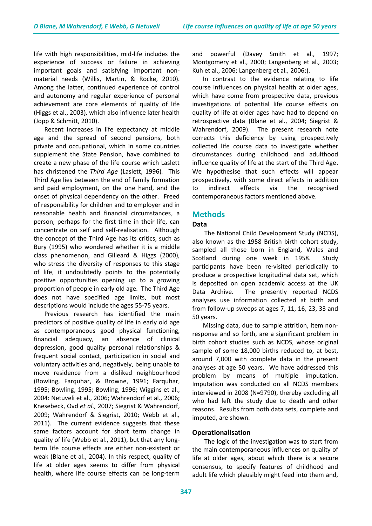life with high responsibilities, mid-life includes the experience of success or failure in achieving important goals and satisfying important nonmaterial needs (Willis, Martin, & Rocke, 2010). Among the latter, continued experience of control and autonomy and regular experience of personal achievement are core elements of quality of life (Higgs et al., 2003), which also influence later health (Jopp & Schmitt, 2010).

Recent increases in life expectancy at middle age and the spread of second pensions, both private and occupational, which in some countries supplement the State Pension, have combined to create a new phase of the life course which Laslett has christened the *Third Age* (Laslett, 1996)*.* This Third Age lies between the end of family formation and paid employment, on the one hand, and the onset of physical dependency on the other. Freed of responsibility for children and to employer and in reasonable health and financial circumstances, a person, perhaps for the first time in their life, can concentrate on self and self-realisation. Although the concept of the Third Age has its critics, such as Bury (1995) who wondered whether it is a middle class phenomenon, and Gilleard & Higgs (2000), who stress the diversity of responses to this stage of life, it undoubtedly points to the potentially positive opportunities opening up to a growing proportion of people in early old age. The Third Age does not have specified age limits, but most descriptions would include the ages 55-75 years.

Previous research has identified the main predictors of positive quality of life in early old age as contemporaneous good physical functioning, financial adequacy, an absence of clinical depression, good quality personal relationships & frequent social contact, participation in social and voluntary activities and, negatively, being unable to move residence from a disliked neighbourhood (Bowling, Farquhar, & Browne, 1991; Farquhar, 1995; Bowling, 1995; Bowling, 1996; Wiggins et al., 2004: Netuveli et al., 2006; Wahrendorf et al.*,* 2006; Knesebeck, Ovd *et al.,* 2007; Siegrist & Wahrendorf, 2009; Wahrendorf & Siegrist, 2010; Webb et al.*,* 2011). The current evidence suggests that these same factors account for short term change in quality of life (Webb et al., 2011), but that any longterm life course effects are either non-existent or weak (Blane et al., 2004). In this respect, quality of life at older ages seems to differ from physical health, where life course effects can be long-term

and powerful (Davey Smith et al*.,* 1997; Montgomery et al., 2000; Langenberg et al*.,* 2003; Kuh et al., 2006; Langenberg et al*.,* 2006;).

In contrast to the evidence relating to life course influences on physical health at older ages, which have come from prospective data, previous investigations of potential life course effects on quality of life at older ages have had to depend on retrospective data (Blane et al., 2004; Siegrist & Wahrendorf, 2009). The present research note corrects this deficiency by using prospectively collected life course data to investigate whether circumstances during childhood and adulthood influence quality of life at the start of the Third Age. We hypothesise that such effects will appear prospectively, with some direct effects in addition to indirect effects via the recognised contemporaneous factors mentioned above.

# **Methods**

## **Data**

The National Child Development Study (NCDS), also known as the 1958 British birth cohort study, sampled all those born in England, Wales and Scotland during one week in 1958. Study participants have been re-visited periodically to produce a prospective longitudinal data set, which is deposited on open academic access at the UK Data Archive. The presently reported NCDS analyses use information collected at birth and from follow-up sweeps at ages 7, 11, 16, 23, 33 and 50 years.

Missing data, due to sample attrition, item nonresponse and so forth, are a significant problem in birth cohort studies such as NCDS, whose original sample of some 18,000 births reduced to, at best, around 7,000 with complete data in the present analyses at age 50 years. We have addressed this problem by means of multiple imputation. Imputation was conducted on all NCDS members interviewed in 2008 (N=9790), thereby excluding all who had left the study due to death and other reasons. Results from both data sets, complete and imputed, are shown.

## **Operationalisation**

The logic of the investigation was to start from the main contemporaneous influences on quality of life at older ages, about which there is a secure consensus, to specify features of childhood and adult life which plausibly might feed into them and,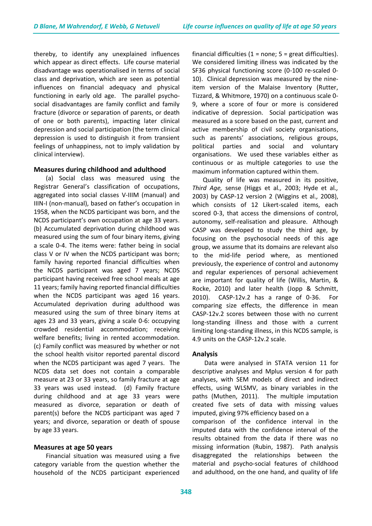thereby, to identify any unexplained influences which appear as direct effects. Life course material disadvantage was operationalised in terms of social class and deprivation, which are seen as potential influences on financial adequacy and physical functioning in early old age. The parallel psychosocial disadvantages are family conflict and family fracture (divorce or separation of parents, or death of one or both parents), impacting later clinical depression and social participation (the term clinical depression is used to distinguish it from transient feelings of unhappiness, not to imply validation by clinical interview).

#### **Measures during childhood and adulthood**

(a) Social class was measured using the Registrar General's classification of occupations, aggregated into social classes V-IIIM (manual) and IIIN-I (non-manual), based on father's occupation in 1958, when the NCDS participant was born, and the NCDS participant's own occupation at age 33 years. (b) Accumulated deprivation during childhood was measured using the sum of four binary items, giving a scale 0-4. The items were: father being in social class V or IV when the NCDS participant was born; family having reported financial difficulties when the NCDS participant was aged 7 years; NCDS participant having received free school meals at age 11 years; family having reported financial difficulties when the NCDS participant was aged 16 years. Accumulated deprivation during adulthood was measured using the sum of three binary items at ages 23 and 33 years, giving a scale 0-6: occupying crowded residential accommodation; receiving welfare benefits; living in rented accommodation. (c) Family conflict was measured by whether or not the school health visitor reported parental discord when the NCDS participant was aged 7 years. The NCDS data set does not contain a comparable measure at 23 or 33 years, so family fracture at age 33 years was used instead. (d) Family fracture during childhood and at age 33 years were measured as divorce, separation or death of parent(s) before the NCDS participant was aged 7 years; and divorce, separation or death of spouse by age 33 years.

#### **Measures at age 50 years**

Financial situation was measured using a five category variable from the question whether the household of the NCDS participant experienced

financial difficulties  $(1 = none; 5 = great$  difficulties). We considered limiting illness was indicated by the SF36 physical functioning score (0-100 re-scaled 0- 10). Clinical depression was measured by the nineitem version of the Malaise Inventory (Rutter, Tizzard, & Whitmore, 1970) on a continuous scale 0- 9, where a score of four or more is considered indicative of depression. Social participation was measured as a score based on the past, current and active membership of civil society organisations, such as parents' associations, religious groups, political parties and social and voluntary organisations. We used these variables either as continuous or as multiple categories to use the maximum information captured within them.

Quality of life was measured in its positive, *Third Age,* sense (Higgs et al*.,* 2003; Hyde et al*.,* 2003) by CASP-12 version 2 (Wiggins et al*.,* 2008), which consists of 12 Likert-scaled items, each scored 0-3, that access the dimensions of control, autonomy, self-realisation and pleasure. Although CASP was developed to study the third age, by focusing on the psychosocial needs of this age group, we assume that its domains are relevant also to the mid-life period where, as mentioned previously, the experience of control and autonomy and regular experiences of personal achievement are important for quality of life (Willis, Martin, & Rocke, 2010) and later health (Jopp & Schmitt, 2010). CASP-12v.2 has a range of 0-36. For comparing size effects, the difference in mean CASP-12v.2 scores between those with no current long-standing illness and those with a current limiting long-standing illness, in this NCDS sample, is 4.9 units on the CASP-12v.2 scale.

## **Analysis**

Data were analysed in STATA version 11 for descriptive analyses and Mplus version 4 for path analyses, with SEM models of direct and indirect effects, using WLSMV, as binary variables in the paths (Muthen, 2011). The multiple imputation created five sets of data with missing values imputed, giving 97% efficiency based on a comparison of the confidence interval in the imputed data with the confidence interval of the results obtained from the data if there was no missing information (Rubin, 1987). Path analysis disaggregated the relationships between the material and psycho-social features of childhood

and adulthood, on the one hand, and quality of life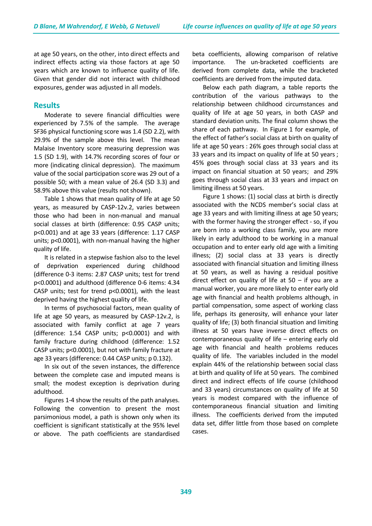at age 50 years, on the other, into direct effects and indirect effects acting via those factors at age 50 years which are known to influence quality of life. Given that gender did not interact with childhood exposures, gender was adjusted in all models.

# **Results**

Moderate to severe financial difficulties were experienced by 7.5% of the sample. The average SF36 physical functioning score was 1.4 (SD 2.2), with 29.9% of the sample above this level. The mean Malaise Inventory score measuring depression was 1.5 (SD 1.9), with 14.7% recording scores of four or more (indicating clinical depression). The maximum value of the social participation score was 29 out of a possible 50; with a mean value of 26.4 (SD 3.3) and 58.9% above this value (results not shown).

Table 1 shows that mean quality of life at age 50 years, as measured by CASP-12v.2, varies between those who had been in non-manual and manual social classes at birth (difference: 0.95 CASP units; p<0.001) and at age 33 years (difference: 1.17 CASP units; p<0.0001), with non-manual having the higher quality of life.

It is related in a stepwise fashion also to the level of deprivation experienced during childhood (difference 0-3 items: 2.87 CASP units; test for trend p<0.0001) and adulthood (difference 0-6 items: 4.34 CASP units; test for trend p<0.0001), with the least deprived having the highest quality of life.

In terms of psychosocial factors, mean quality of life at age 50 years, as measured by CASP-12v.2, is associated with family conflict at age 7 years (difference: 1.54 CASP units; p<0.0001) and with family fracture during childhood (difference: 1.52 CASP units; p<0.0001), but not with family fracture at age 33 years (difference: 0.44 CASP units; p 0.132).

In six out of the seven instances, the difference between the complete case and imputed means is small; the modest exception is deprivation during adulthood.

Figures 1-4 show the results of the path analyses. Following the convention to present the most parsimonious model, a path is shown only when its coefficient is significant statistically at the 95% level or above. The path coefficients are standardised beta coefficients, allowing comparison of relative importance. The un-bracketed coefficients are derived from complete data, while the bracketed coefficients are derived from the imputed data.

Below each path diagram, a table reports the contribution of the various pathways to the relationship between childhood circumstances and quality of life at age 50 years, in both CASP and standard deviation units. The final column shows the share of each pathway. In Figure 1 for example, of the effect of father's social class at birth on quality of life at age 50 years : 26% goes through social class at 33 years and its impact on quality of life at 50 years ; 45% goes through social class at 33 years and its impact on financial situation at 50 years; and 29% goes through social class at 33 years and impact on limiting illness at 50 years.

Figure 1 shows: (1) social class at birth is directly associated with the NCDS member's social class at age 33 years and with limiting illness at age 50 years; with the former having the stronger effect - so, if you are born into a working class family, you are more likely in early adulthood to be working in a manual occupation and to enter early old age with a limiting illness; (2) social class at 33 years is directly associated with financial situation and limiting illness at 50 years, as well as having a residual positive direct effect on quality of life at  $50 -$  if you are a manual worker, you are more likely to enter early old age with financial and health problems although, in partial compensation, some aspect of working class life, perhaps its generosity, will enhance your later quality of life; (3) both financial situation and limiting illness at 50 years have inverse direct effects on contemporaneous quality of life – entering early old age with financial and health problems reduces quality of life. The variables included in the model explain 44% of the relationship between social class at birth and quality of life at 50 years. The combined direct and indirect effects of life course (childhood and 33 years) circumstances on quality of life at 50 years is modest compared with the influence of contemporaneous financial situation and limiting illness. The coefficients derived from the imputed data set, differ little from those based on complete cases.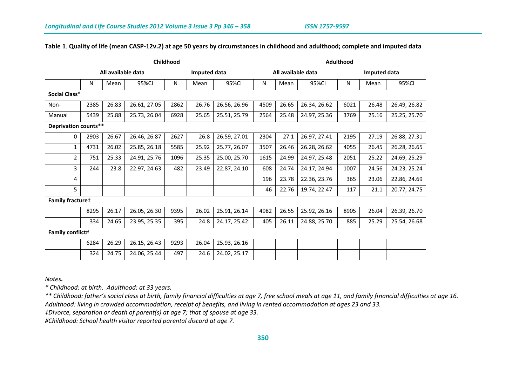## **Table 1**. **Quality of life (mean CASP-12v.2) at age 50 years by circumstances in childhood and adulthood; complete and imputed data**

|                      | Childhood               |       |              |      |              | <b>Adulthood</b> |                    |       |              |              |       |              |
|----------------------|-------------------------|-------|--------------|------|--------------|------------------|--------------------|-------|--------------|--------------|-------|--------------|
|                      | All available data      |       |              |      | Imputed data |                  | All available data |       |              | Imputed data |       |              |
|                      | N                       | Mean  | 95%CI        | N    | Mean         | 95%CI            | N                  | Mean  | 95%CI        | Ν            | Mean  | 95%CI        |
| Social Class*        |                         |       |              |      |              |                  |                    |       |              |              |       |              |
| Non-                 | 2385                    | 26.83 | 26.61, 27.05 | 2862 | 26.76        | 26.56, 26.96     | 4509               | 26.65 | 26.34, 26.62 | 6021         | 26.48 | 26.49, 26.82 |
| Manual               | 5439                    | 25.88 | 25.73, 26.04 | 6928 | 25.65        | 25.51, 25.79     | 2564               | 25.48 | 24.97, 25.36 | 3769         | 25.16 | 25.25, 25.70 |
| Deprivation counts** |                         |       |              |      |              |                  |                    |       |              |              |       |              |
| 0                    | 2903                    | 26.67 | 26.46, 26.87 | 2627 | 26.8         | 26.59, 27.01     | 2304               | 27.1  | 26.97, 27.41 | 2195         | 27.19 | 26.88, 27.31 |
| $\mathbf{1}$         | 4731                    | 26.02 | 25.85, 26.18 | 5585 | 25.92        | 25.77, 26.07     | 3507               | 26.46 | 26.28, 26.62 | 4055         | 26.45 | 26.28, 26.65 |
| $\overline{2}$       | 751                     | 25.33 | 24.91, 25.76 | 1096 | 25.35        | 25.00, 25.70     | 1615               | 24.99 | 24.97, 25.48 | 2051         | 25.22 | 24.69, 25.29 |
| 3                    | 244                     | 23.8  | 22.97, 24.63 | 482  | 23.49        | 22.87, 24.10     | 608                | 24.74 | 24.17, 24.94 | 1007         | 24.56 | 24.23, 25.24 |
| 4                    |                         |       |              |      |              |                  | 196                | 23.78 | 22.36, 23.76 | 365          | 23.06 | 22.86, 24.69 |
| 5                    |                         |       |              |      |              |                  | 46                 | 22.76 | 19.74, 22.47 | 117          | 21.1  | 20.77, 24.75 |
|                      | <b>Family fracture#</b> |       |              |      |              |                  |                    |       |              |              |       |              |
|                      | 8295                    | 26.17 | 26.05, 26.30 | 9395 | 26.02        | 25.91, 26.14     | 4982               | 26.55 | 25.92, 26.16 | 8905         | 26.04 | 26.39, 26.70 |
|                      | 334                     | 24.65 | 23.95, 25.35 | 395  | 24.8         | 24.17, 25.42     | 405                | 26.11 | 24.88, 25.70 | 885          | 25.29 | 25.54, 26.68 |
|                      | <b>Family conflict#</b> |       |              |      |              |                  |                    |       |              |              |       |              |
|                      | 6284                    | 26.29 | 26.15, 26.43 | 9293 | 26.04        | 25.93, 26.16     |                    |       |              |              |       |              |
|                      | 324                     | 24.75 | 24.06, 25.44 | 497  | 24.6         | 24.02, 25.17     |                    |       |              |              |       |              |

*Notes.*

*\* Childhood: at birth. Adulthood: at 33 years.*

*\*\* Childhood: father's social class at birth, family financial difficulties at age 7, free school meals at age 11, and family financial difficulties at age 16. Adulthood: living in crowded accommodation, receipt of benefits, and living in rented accommodation at ages 23 and 33.*

*‡Divorce, separation or death of parent(s) at age 7; that of spouse at age 33.* 

*#Childhood: School health visitor reported parental discord at age 7.*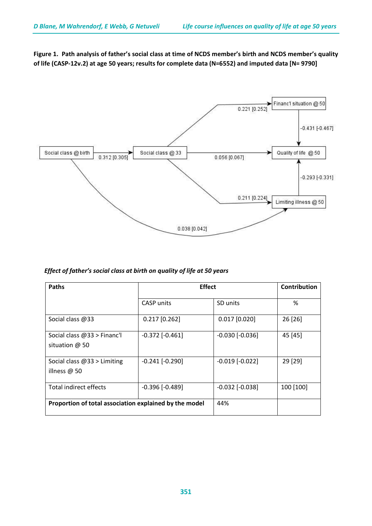**Figure 1. Path analysis of father's social class at time of NCDS member's birth and NCDS member's quality of life (CASP-12v.2) at age 50 years; results for complete data (N=6552) and imputed data [N= 9790]**



# *Effect of father's social class at birth on quality of life at 50 years*

| <b>Paths</b>                                           | <b>Effect</b>       |                     | Contribution |
|--------------------------------------------------------|---------------------|---------------------|--------------|
|                                                        | <b>CASP</b> units   | SD units            | %            |
| Social class @33                                       | $0.217$ [0.262]     | $0.017$ [0.020]     | 26 [26]      |
| Social class @33 > Financ'l<br>situation $@$ 50        | $-0.372$ $[-0.461]$ | $-0.030$ $[-0.036]$ | 45 [45]      |
| Social class $@33>$ Limiting<br>illness $@$ 50         | $-0.241$ $[-0.290]$ | $-0.019$ $[-0.022]$ | 29 [29]      |
| Total indirect effects                                 | $-0.396$ $[-0.489]$ | $-0.032$ $[-0.038]$ | 100 [100]    |
| Proportion of total association explained by the model | 44%                 |                     |              |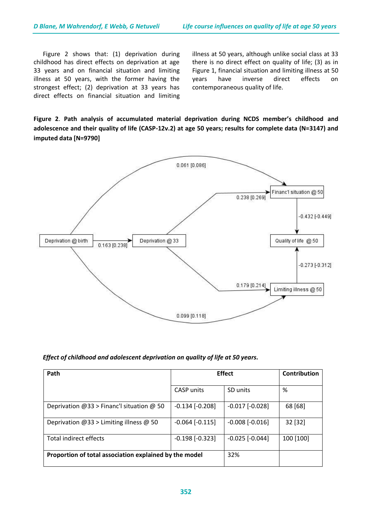Figure 2 shows that: (1) deprivation during childhood has direct effects on deprivation at age 33 years and on financial situation and limiting illness at 50 years, with the former having the strongest effect; (2) deprivation at 33 years has direct effects on financial situation and limiting illness at 50 years, although unlike social class at 33 there is no direct effect on quality of life; (3) as in Figure 1, financial situation and limiting illness at 50 years have inverse direct effects on contemporaneous quality of life.

**Figure 2**. **Path analysis of accumulated material deprivation during NCDS member's childhood and adolescence and their quality of life (CASP-12v.2) at age 50 years; results for complete data (N=3147) and imputed data [N=9790]**



#### *Effect of childhood and adolescent deprivation on quality of life at 50 years.*

| Path                                                   | <b>Effect</b>       | Contribution        |           |
|--------------------------------------------------------|---------------------|---------------------|-----------|
|                                                        | <b>CASP</b> units   | SD units            | %         |
| Deprivation $@33$ > Financ'l situation $@50$           | $-0.134$ $[-0.208]$ | $-0.017$ $[-0.028]$ | 68 [68]   |
| Deprivation $@33>$ Limiting illness $@50$              | $-0.064$ $[-0.115]$ | $-0.008$ $[-0.016]$ | 32 [32]   |
| Total indirect effects                                 | $-0.198$ $[-0.323]$ | $-0.025$ $[-0.044]$ | 100 [100] |
| Proportion of total association explained by the model | 32%                 |                     |           |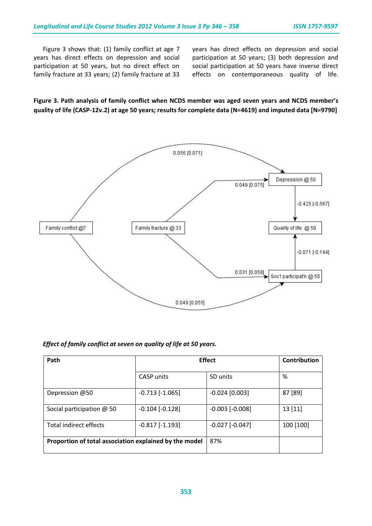Figure 3 shows that: (1) family conflict at age 7 years has direct effects on depression and social participation at 50 years, but no direct effect on family fracture at 33 years; (2) family fracture at 33 years has direct effects on depression and social participation at 50 years; (3) both depression and social participation at 50 years have inverse direct effects on contemporaneous quality of life.

**Figure 3. Path analysis of family conflict when NCDS member was aged seven years and NCDS member's quality of life (CASP-12v.2) at age 50 years; results for complete data (N=4619) and imputed data [N=9790]**



| Effect of family conflict at seven on quality of life at 50 years. |  |
|--------------------------------------------------------------------|--|
|--------------------------------------------------------------------|--|

| Path                                                   |                     | <b>Effect</b>       | Contribution |
|--------------------------------------------------------|---------------------|---------------------|--------------|
|                                                        | CASP units          | SD units            | %            |
| Depression @50                                         | $-0.713$ $[-1.065]$ | $-0.024$ [0.003]    | 87 [89]      |
| Social participation $@$ 50                            | $-0.104$ $[-0.128]$ | $-0.003$ $[-0.008]$ | 13[11]       |
| Total indirect effects                                 | $-0.817$ $[-1.193]$ | $-0.027$ $[-0.047]$ | 100 [100]    |
| Proportion of total association explained by the model | 87%                 |                     |              |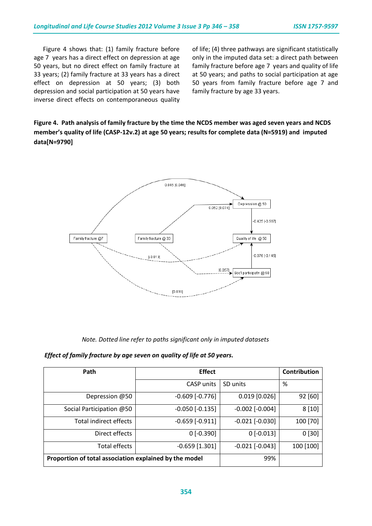Figure 4 shows that: (1) family fracture before age 7 years has a direct effect on depression at age 50 years, but no direct effect on family fracture at 33 years; (2) family fracture at 33 years has a direct effect on depression at 50 years; (3) both depression and social participation at 50 years have inverse direct effects on contemporaneous quality

of life; (4) three pathways are significant statistically only in the imputed data set: a direct path between family fracture before age 7 years and quality of life at 50 years; and paths to social participation at age 50 years from family fracture before age 7 and family fracture by age 33 years.

# **Figure 4. Path analysis of family fracture by the time the NCDS member was aged seven years and NCDS member's quality of life (CASP-12v.2) at age 50 years; results for complete data (N=5919) and imputed data[N=9790]**



 *Note. Dotted line refer to paths significant only in imputed datasets*

 *Effect of family fracture by age seven on quality of life at 50 years.*

| Path                                                   | <b>Effect</b>       |                     | Contribution |  |
|--------------------------------------------------------|---------------------|---------------------|--------------|--|
|                                                        | <b>CASP</b> units   | SD units            | %            |  |
| Depression @50                                         | $-0.609$ $[-0.776]$ | $0.019$ [0.026]     | 92 [60]      |  |
| Social Participation @50                               | $-0.050$ $[-0.135]$ | $-0.002$ $[-0.004]$ | 8[10]        |  |
| Total indirect effects                                 | $-0.659$ $[-0.911]$ | $-0.021$ $[-0.030]$ | 100 [70]     |  |
| Direct effects                                         | $0$ [-0.390]        | $0$ [-0.013]        | 0[30]        |  |
| Total effects                                          | $-0.659$ [1.301]    | $-0.021$ $[-0.043]$ | 100 [100]    |  |
| Proportion of total association explained by the model | 99%                 |                     |              |  |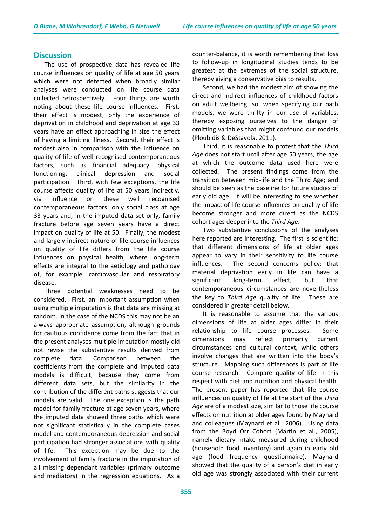## **Discussion**

The use of prospective data has revealed life course influences on quality of life at age 50 years which were not detected when broadly similar analyses were conducted on life course data collected retrospectively. Four things are worth noting about these life course influences. First, their effect is modest; only the experience of deprivation in childhood and deprivation at age 33 years have an effect approaching in size the effect of having a limiting illness. Second, their effect is modest also in comparison with the influence on quality of life of well-recognised contemporaneous factors, such as financial adequacy, physical functioning, clinical depression and social participation. Third, with few exceptions, the life course affects quality of life at 50 years indirectly, via influence on these well recognised contemporaneous factors; only social class at age 33 years and, in the imputed data set only, family fracture before age seven years have a direct impact on quality of life at 50. Finally, the modest and largely indirect nature of life course influences on quality of life differs from the life course influences on physical health, where long-term effects are integral to the aetiology and pathology of, for example, cardiovascular and respiratory disease.

Three potential weaknesses need to be considered. First, an important assumption when using multiple imputation is that data are missing at random. In the case of the NCDS this may not be an always appropriate assumption, although grounds for cautious confidence come from the fact that in the present analyses multiple imputation mostly did not revise the substantive results derived from complete data. Comparison between the coefficients from the complete and imputed data models is difficult, because they come from different data sets, but the similarity in the contribution of the different paths suggests that our models are valid. The one exception is the path model for family fracture at age seven years, where the imputed data showed three paths which were not significant statistically in the complete cases model and contemporaneous depression and social participation had stronger associations with quality of life. This exception may be due to the involvement of family fracture in the imputation of all missing dependant variables (primary outcome and mediators) in the regression equations. As a counter-balance, it is worth remembering that loss to follow-up in longitudinal studies tends to be greatest at the extremes of the social structure, thereby giving a conservative bias to results.

Second, we had the modest aim of showing the direct and indirect influences of childhood factors on adult wellbeing, so, when specifying our path models, we were thrifty in our use of variables, thereby exposing ourselves to the danger of omitting variables that might confound our models (Ploubidis & DeStavola, 2011).

Third, it is reasonable to protest that the *Third Age* does not start until after age 50 years, the age at which the outcome data used here were collected. The present findings come from the transition between mid-life and the Third Age; and should be seen as the baseline for future studies of early old age. It will be interesting to see whether the impact of life course influences on quality of life become stronger and more direct as the NCDS cohort ages deeper into the *Third Age*.

Two substantive conclusions of the analyses here reported are interesting. The first is scientific: that different dimensions of life at older ages appear to vary in their sensitivity to life course influences. The second concerns policy: that material deprivation early in life can have a significant long-term effect, but that contemporaneous circumstances are nevertheless the key to *Third Age* quality of life. These are considered in greater detail below.

It is reasonable to assume that the various dimensions of life at older ages differ in their relationship to life course processes. Some dimensions may reflect primarily current circumstances and cultural context, while others involve changes that are written into the body's structure. Mapping such differences is part of life course research. Compare quality of life in this respect with diet and nutrition and physical health. The present paper has reported that life course influences on quality of life at the start of the *Third Age* are of a modest size, similar to those life course effects on nutrition at older ages found by Maynard and colleagues (Maynard et al., 2006). Using data from the Boyd Orr Cohort (Martin et al., 2005), namely dietary intake measured during childhood (household food inventory) and again in early old age (food frequency questionnaire), Maynard showed that the quality of a person's diet in early old age was strongly associated with their current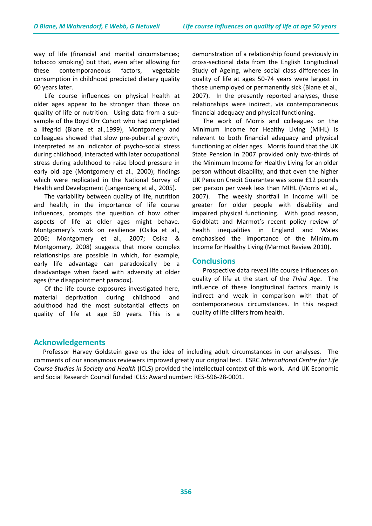way of life (financial and marital circumstances; tobacco smoking) but that, even after allowing for these contemporaneous factors, vegetable consumption in childhood predicted dietary quality 60 years later.

Life course influences on physical health at older ages appear to be stronger than those on quality of life or nutrition. Using data from a subsample of the Boyd Orr Cohort who had completed a lifegrid (Blane et al*.,*1999), Montgomery and colleagues showed that slow pre-pubertal growth, interpreted as an indicator of psycho-social stress during childhood, interacted with later occupational stress during adulthood to raise blood pressure in early old age (Montgomery et al*.,* 2000); findings which were replicated in the National Survey of Health and Development (Langenberg et al*.,* 2005).

The variability between quality of life, nutrition and health, in the importance of life course influences, prompts the question of how other aspects of life at older ages might behave. Montgomery's work on resilience (Osika et al., 2006; Montgomery et al*.,* 2007; Osika & Montgomery, 2008) suggests that more complex relationships are possible in which, for example, early life advantage can paradoxically be a disadvantage when faced with adversity at older ages (the disappointment paradox).

Of the life course exposures investigated here, material deprivation during childhood and adulthood had the most substantial effects on quality of life at age 50 years. This is a

demonstration of a relationship found previously in cross-sectional data from the English Longitudinal Study of Ageing, where social class differences in quality of life at ages 50-74 years were largest in those unemployed or permanently sick (Blane et al*.,* 2007). In the presently reported analyses, these relationships were indirect, via contemporaneous financial adequacy and physical functioning.

The work of Morris and colleagues on the Minimum Income for Healthy Living (MIHL) is relevant to both financial adequacy and physical functioning at older ages. Morris found that the UK State Pension in 2007 provided only two-thirds of the Minimum Income for Healthy Living for an older person without disability, and that even the higher UK Pension Credit Guarantee was some £12 pounds per person per week less than MIHL (Morris et al*.,* 2007). The weekly shortfall in income will be greater for older people with disability and impaired physical functioning. With good reason, Goldblatt and Marmot's recent policy review of health inequalities in England and Wales emphasised the importance of the Minimum Income for Healthy Living (Marmot Review 2010).

# **Conclusions**

Prospective data reveal life course influences on quality of life at the start of the *Third Age*. The influence of these longitudinal factors mainly is indirect and weak in comparison with that of contemporaneous circumstances. In this respect quality of life differs from health.

# **Acknowledgements**

 Professor Harvey Goldstein gave us the idea of including adult circumstances in our analyses. The comments of our anonymous reviewers improved greatly our original text. ESRC *International Centre for Life Course Studies in Society and Health* (ICLS) provided the intellectual context of this work. And UK Economic and Social Research Council funded ICLS: Award number: RES-596-28-0001.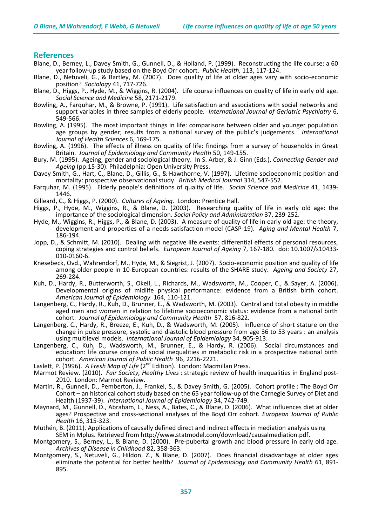## **References**

- Blane, D., Berney, L., Davey Smith, G., Gunnell, D., & Holland, P. (1999). Reconstructing the life course: a 60 year follow-up study based on the Boyd Orr cohort. *Public Health,* 113, 117-124.
- Blane, D., Netuveli, G., & Bartley, M. (2007). Does quality of life at older ages vary with socio-economic position? *Sociology* 41, 717-726.
- Blane, D., Higgs, P., Hyde, M., & Wiggins, R. (2004). Life course influences on quality of life in early old age. *Social Science and Medicine* 58, 2171-2179.
- Bowling, A., Farquhar, M., & Browne, P. (1991). Life satisfaction and associations with social networks and support variables in three samples of elderly people. *International Journal of Geriatric Psychiatry* 6, 549-566.
- Bowling, A. (1995). The most important things in life: comparisons between older and younger population age groups by gender; results from a national survey of the public's judgements. *International Journal of Health Sciences* 6, 169-175.
- Bowling, A. (1996). The effects of illness on quality of life: findings from a survey of households in Great Britain. *Journal of Epidemiology and Community Health* 50, 149-155.
- Bury, M. (1995). Ageing, gender and sociological theory. In S. Arber, & J. Ginn (Eds.), *Connecting Gender and Ageing* (pp.15-30). Philadelphia: Open University Press.
- Davey Smith, G., Hart, C., Blane, D., Gillis, G., & Hawthorne, V. (1997). Lifetime socioeconomic position and mortality: prospective observational study. *British Medical Journal* 314, 547-552.
- Farquhar, M. (1995). Elderly people's definitions of quality of life. *Social Science and Medicine* 41, 1439- 1446.
- Gilleard, C., & Higgs, P. (2000). *Cultures of Ageing.* London: Prentice Hall.
- Higgs, P., Hyde, M., Wiggins, R., & Blane, D. (2003). Researching quality of life in early old age: the importance of the sociological dimension. *Social Policy and Administration* 37, 239-252.
- Hyde, M., Wiggins, R., Higgs, P., & Blane, D. (2003). A measure of quality of life in early old age: the theory, development and properties of a needs satisfaction model (CASP-19). *Aging and Mental Health* 7, 186-194.
- Jopp, D., & Schmitt, M. (2010). Dealing with negative life events: differential effects of personal resources, coping strategies and control beliefs. *European Journal of Ageing* 7, 167-180. doi: 10.1007/s10433- 010-0160-6.
- Knesebeck, Ovd., Wahrendorf, M., Hyde, M., & Siegrist, J. (2007). Socio-economic position and quality of life among older people in 10 European countries: results of the SHARE study. *Ageing and Society* 27, 269-284.
- Kuh, D., Hardy, R., Butterworth, S., Okell, L., Richards, M., Wadsworth, M., Cooper, C., & Sayer, A. (2006). Developmental origins of midlife physical performance: evidence from a British birth cohort. *American Journal of Epidemiology* 164, 110-121.
- Langenberg, C., Hardy, R., Kuh, D., Brunner, E., & Wadsworth, M. (2003). Central and total obesity in middle aged men and women in relation to lifetime socioeconomic status: evidence from a national birth cohort. *Journal of Epidemiology and Community Health* 57, 816-822.
- Langenberg, C., Hardy, R., Breeze, E., Kuh, D., & Wadsworth, M. (2005). Influence of short stature on the change in pulse pressure, systolic and diastolic blood pressure from age 36 to 53 years : an analysis using multilevel models. *International Journal of Epidemiology* 34, 905-913.
- Langenberg, C., Kuh, D., Wadsworth, M., Brunner, E., & Hardy, R. (2006). Social circumstances and education: life course origins of social inequalities in metabolic risk in a prospective national birth cohort. *American Journal of Public Health* 96, 2216-2221.
- Laslett, P. (1996). *A Fresh Map of Life* (2<sup>nd</sup> Edition). London: Macmillan Press.
- Marmot Review. (2010). *Fair Society, Healthy Lives* : strategic review of health inequalities in England post-2010. London: Marmot Review.
- Martin, R., Gunnell, D., Pemberton, J., Frankel, S., & Davey Smith, G. (2005). Cohort profile : The Boyd Orr Cohort – an historical cohort study based on the 65 year follow-up of the Carnegie Survey of Diet and Health (1937-39). *International Journal of Epidemiology* 34, 742-749.
- Maynard, M., Gunnell, D., Abraham, L., Ness, A., Bates, C., & Blane, D. (2006). What influences diet at older ages? Prospective and cross-sectional analyses of the Boyd Orr cohort. *European Journal of Public Health* 16, 315-323.
- Muthén, B. (2011). Applications of causally defined direct and indirect effects in mediation analysis using SEM in Mplus. Retrieved from [http://www.statmodel.com/download/causalmediation.pdf.](http://www.statmodel.com/download/causalmediation.pdf)
- Montgomery, S., Berney, L., & Blane, D. (2000). Pre-pubertal growth and blood pressure in early old age. *Archives of Disease in Childhood* 82, 358-363.
- Montgomery, S., Netuveli, G., Hildon, Z., & Blane, D. (2007). Does financial disadvantage at older ages eliminate the potential for better health? *Journal of Epidemiology and Community Health* 61, 891- 895.